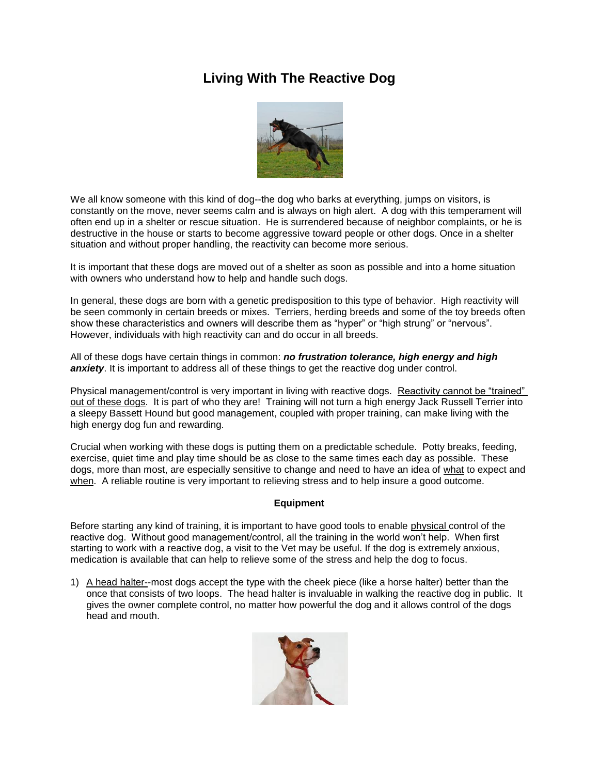## **Living With The Reactive Dog**



We all know someone with this kind of dog--the dog who barks at everything, jumps on visitors, is constantly on the move, never seems calm and is always on high alert. A dog with this temperament will often end up in a shelter or rescue situation. He is surrendered because of neighbor complaints, or he is destructive in the house or starts to become aggressive toward people or other dogs. Once in a shelter situation and without proper handling, the reactivity can become more serious.

It is important that these dogs are moved out of a shelter as soon as possible and into a home situation with owners who understand how to help and handle such dogs.

In general, these dogs are born with a genetic predisposition to this type of behavior. High reactivity will be seen commonly in certain breeds or mixes. Terriers, herding breeds and some of the toy breeds often show these characteristics and owners will describe them as "hyper" or "high strung" or "nervous". However, individuals with high reactivity can and do occur in all breeds.

All of these dogs have certain things in common: *no frustration tolerance, high energy and high*  **anxiety**. It is important to address all of these things to get the reactive dog under control.

Physical management/control is very important in living with reactive dogs. Reactivity cannot be "trained" out of these dogs. It is part of who they are! Training will not turn a high energy Jack Russell Terrier into a sleepy Bassett Hound but good management, coupled with proper training, can make living with the high energy dog fun and rewarding.

Crucial when working with these dogs is putting them on a predictable schedule. Potty breaks, feeding, exercise, quiet time and play time should be as close to the same times each day as possible. These dogs, more than most, are especially sensitive to change and need to have an idea of what to expect and when. A reliable routine is very important to relieving stress and to help insure a good outcome.

## **Equipment**

Before starting any kind of training, it is important to have good tools to enable physical control of the reactive dog. Without good management/control, all the training in the world won't help. When first starting to work with a reactive dog, a visit to the Vet may be useful. If the dog is extremely anxious, medication is available that can help to relieve some of the stress and help the dog to focus.

1) A head halter--most dogs accept the type with the cheek piece (like a horse halter) better than the once that consists of two loops. The head halter is invaluable in walking the reactive dog in public. It gives the owner complete control, no matter how powerful the dog and it allows control of the dogs head and mouth.

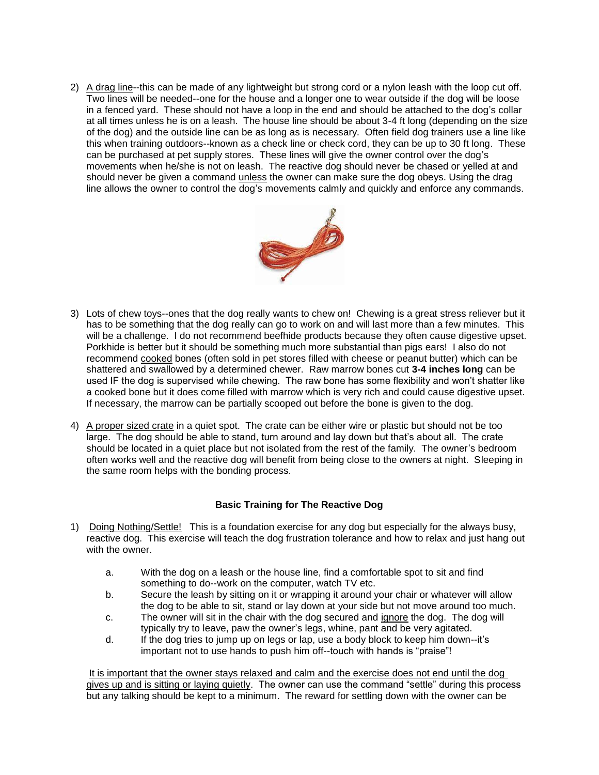2) A drag line--this can be made of any lightweight but strong cord or a nylon leash with the loop cut off. Two lines will be needed--one for the house and a longer one to wear outside if the dog will be loose in a fenced yard. These should not have a loop in the end and should be attached to the dog's collar at all times unless he is on a leash. The house line should be about 3-4 ft long (depending on the size of the dog) and the outside line can be as long as is necessary. Often field dog trainers use a line like this when training outdoors--known as a check line or check cord, they can be up to 30 ft long. These can be purchased at pet supply stores. These lines will give the owner control over the dog's movements when he/she is not on leash. The reactive dog should never be chased or yelled at and should never be given a command unless the owner can make sure the dog obeys. Using the drag line allows the owner to control the dog's movements calmly and quickly and enforce any commands.



- 3) Lots of chew toys--ones that the dog really wants to chew on! Chewing is a great stress reliever but it has to be something that the dog really can go to work on and will last more than a few minutes. This will be a challenge. I do not recommend beefhide products because they often cause digestive upset. Porkhide is better but it should be something much more substantial than pigs ears! I also do not recommend cooked bones (often sold in pet stores filled with cheese or peanut butter) which can be shattered and swallowed by a determined chewer. Raw marrow bones cut **3-4 inches long** can be used IF the dog is supervised while chewing. The raw bone has some flexibility and won't shatter like a cooked bone but it does come filled with marrow which is very rich and could cause digestive upset. If necessary, the marrow can be partially scooped out before the bone is given to the dog.
- 4) A proper sized crate in a quiet spot. The crate can be either wire or plastic but should not be too large. The dog should be able to stand, turn around and lay down but that's about all. The crate should be located in a quiet place but not isolated from the rest of the family. The owner's bedroom often works well and the reactive dog will benefit from being close to the owners at night. Sleeping in the same room helps with the bonding process.

## **Basic Training for The Reactive Dog**

- 1) Doing Nothing/Settle! This is a foundation exercise for any dog but especially for the always busy, reactive dog. This exercise will teach the dog frustration tolerance and how to relax and just hang out with the owner.
	- a. With the dog on a leash or the house line, find a comfortable spot to sit and find something to do--work on the computer, watch TV etc.
	- b. Secure the leash by sitting on it or wrapping it around your chair or whatever will allow the dog to be able to sit, stand or lay down at your side but not move around too much.
	- c. The owner will sit in the chair with the dog secured and ignore the dog. The dog will typically try to leave, paw the owner's legs, whine, pant and be very agitated.
	- d. If the dog tries to jump up on legs or lap, use a body block to keep him down--it's important not to use hands to push him off--touch with hands is "praise"!

It is important that the owner stays relaxed and calm and the exercise does not end until the dog gives up and is sitting or laying quietly. The owner can use the command "settle" during this process but any talking should be kept to a minimum. The reward for settling down with the owner can be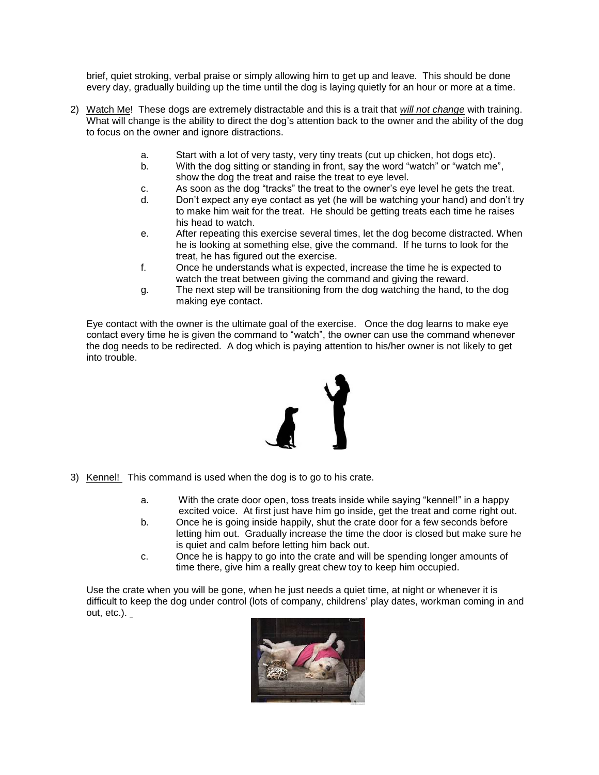brief, quiet stroking, verbal praise or simply allowing him to get up and leave. This should be done every day, gradually building up the time until the dog is laying quietly for an hour or more at a time.

- 2) Watch Me! These dogs are extremely distractable and this is a trait that *will not change* with training. What will change is the ability to direct the dog's attention back to the owner and the ability of the dog to focus on the owner and ignore distractions.
	- a. Start with a lot of very tasty, very tiny treats (cut up chicken, hot dogs etc).
	- b. With the dog sitting or standing in front, say the word "watch" or "watch me", show the dog the treat and raise the treat to eye level.
	- c. As soon as the dog "tracks" the treat to the owner's eye level he gets the treat.
	- d. Don't expect any eye contact as yet (he will be watching your hand) and don't try to make him wait for the treat. He should be getting treats each time he raises his head to watch.
	- e. After repeating this exercise several times, let the dog become distracted. When he is looking at something else, give the command. If he turns to look for the treat, he has figured out the exercise.
	- f. Once he understands what is expected, increase the time he is expected to watch the treat between giving the command and giving the reward.
	- g. The next step will be transitioning from the dog watching the hand, to the dog making eye contact.

Eye contact with the owner is the ultimate goal of the exercise. Once the dog learns to make eye contact every time he is given the command to "watch", the owner can use the command whenever the dog needs to be redirected. A dog which is paying attention to his/her owner is not likely to get into trouble.



- 3) Kennel! This command is used when the dog is to go to his crate.
	- a. With the crate door open, toss treats inside while saying "kennel!" in a happy excited voice. At first just have him go inside, get the treat and come right out.
	- b. Once he is going inside happily, shut the crate door for a few seconds before letting him out. Gradually increase the time the door is closed but make sure he is quiet and calm before letting him back out.
	- c. Once he is happy to go into the crate and will be spending longer amounts of time there, give him a really great chew toy to keep him occupied.

Use the crate when you will be gone, when he just needs a quiet time, at night or whenever it is difficult to keep the dog under control (lots of company, childrens' play dates, workman coming in and out,  $etc.$ ).  $\overline{\phantom{a}}$